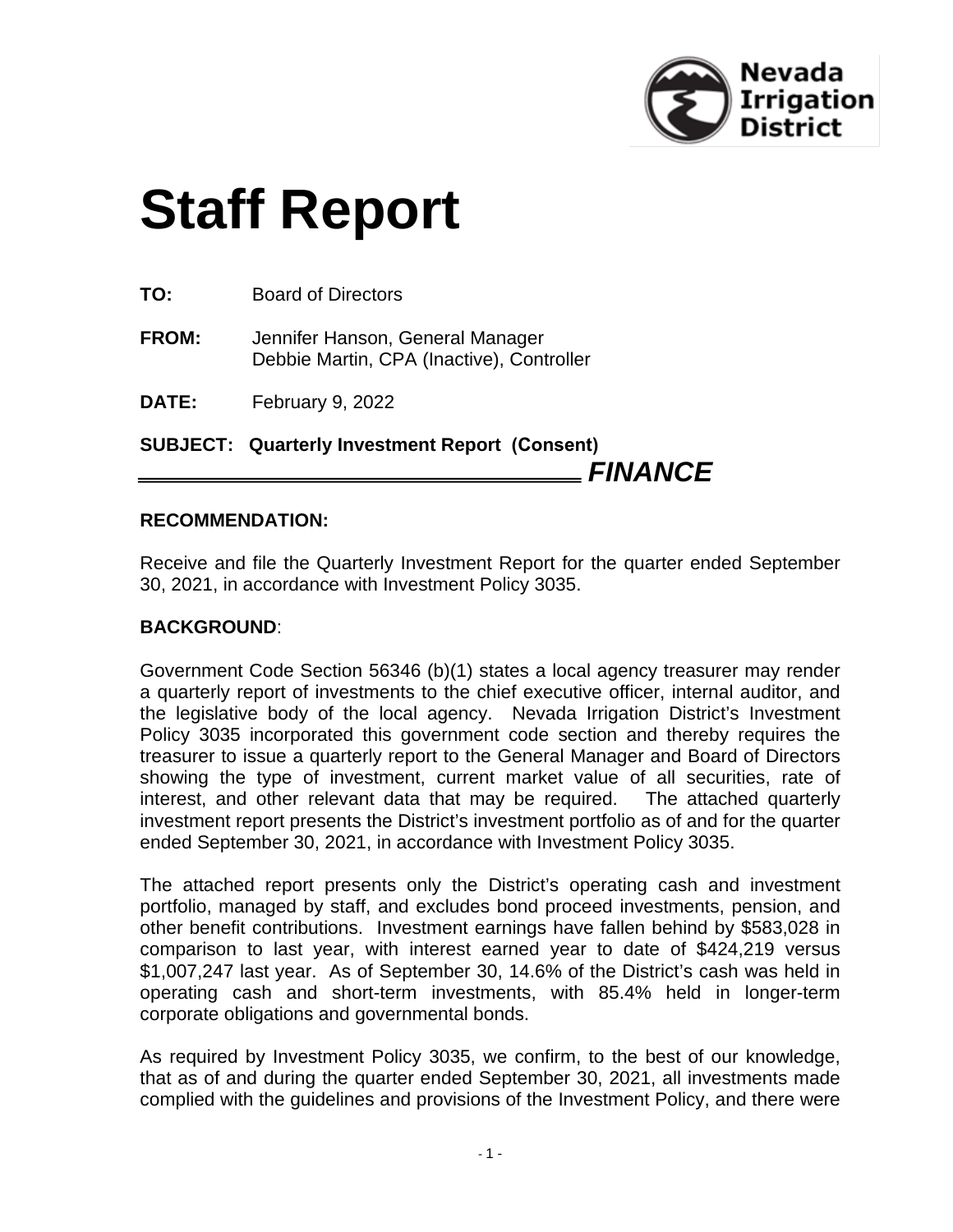

# **Staff Report**

**TO:** Board of Directors

- **FROM:** Jennifer Hanson, General Manager Debbie Martin, CPA (Inactive), Controller
- **DATE:** February 9, 2022

**SUBJECT: Quarterly Investment Report (Consent)** *FINANCE*

#### **RECOMMENDATION:**

Receive and file the Quarterly Investment Report for the quarter ended September 30, 2021, in accordance with Investment Policy 3035.

#### **BACKGROUND**:

Government Code Section 56346 (b)(1) states a local agency treasurer may render a quarterly report of investments to the chief executive officer, internal auditor, and the legislative body of the local agency. Nevada Irrigation District's Investment Policy 3035 incorporated this government code section and thereby requires the treasurer to issue a quarterly report to the General Manager and Board of Directors showing the type of investment, current market value of all securities, rate of interest, and other relevant data that may be required. The attached quarterly investment report presents the District's investment portfolio as of and for the quarter ended September 30, 2021, in accordance with Investment Policy 3035.

The attached report presents only the District's operating cash and investment portfolio, managed by staff, and excludes bond proceed investments, pension, and other benefit contributions. Investment earnings have fallen behind by \$583,028 in comparison to last year, with interest earned year to date of \$424,219 versus \$1,007,247 last year. As of September 30, 14.6% of the District's cash was held in operating cash and short-term investments, with 85.4% held in longer-term corporate obligations and governmental bonds.

As required by Investment Policy 3035, we confirm, to the best of our knowledge, that as of and during the quarter ended September 30, 2021, all investments made complied with the guidelines and provisions of the Investment Policy, and there were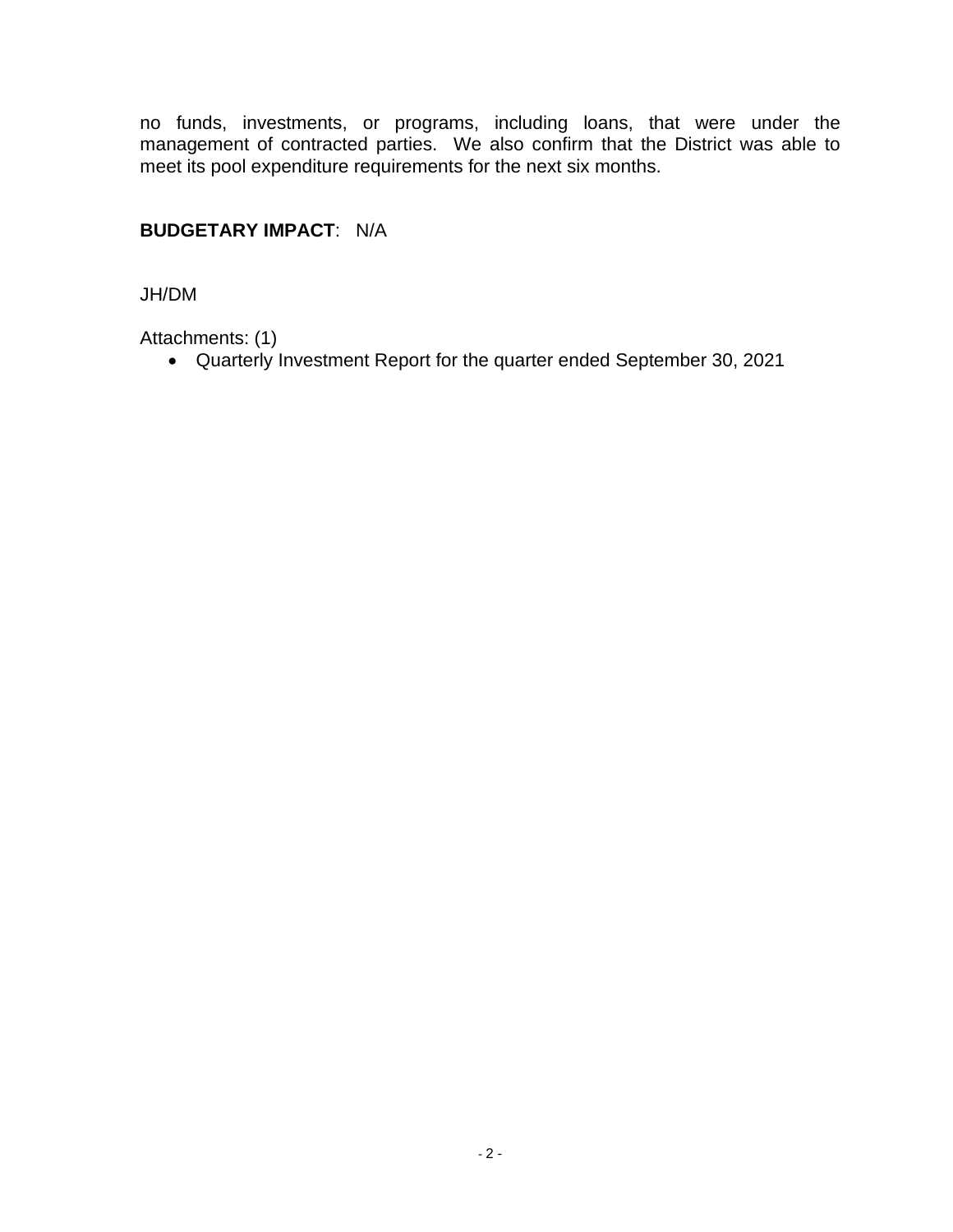no funds, investments, or programs, including loans, that were under the management of contracted parties. We also confirm that the District was able to meet its pool expenditure requirements for the next six months.

#### **BUDGETARY IMPACT**: N/A

JH/DM

Attachments: (1)

• Quarterly Investment Report for the quarter ended September 30, 2021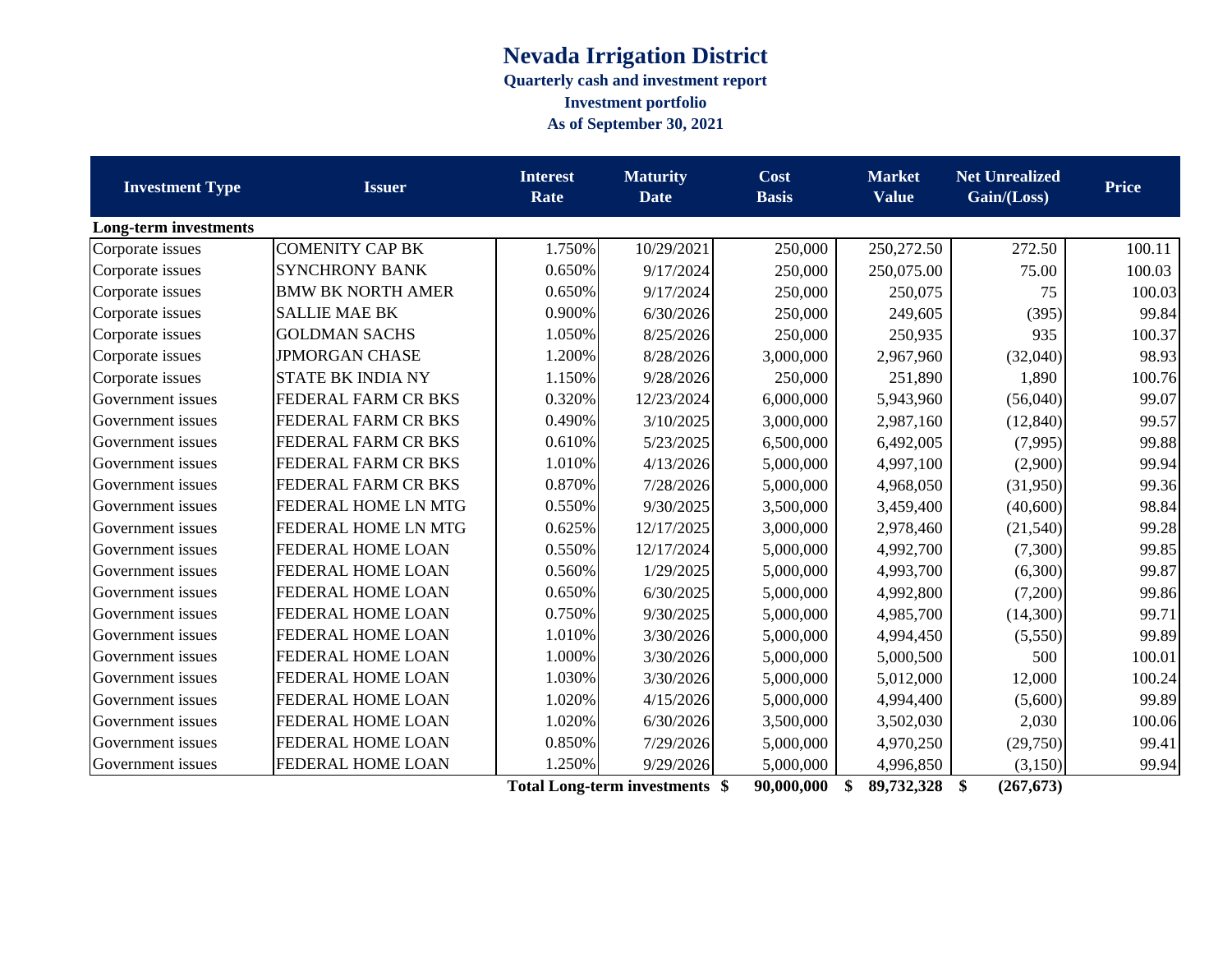## **Nevada Irrigation District Quarterly cash and investment report Investment portfolio As of September 30, 2021**

| <b>Issuer</b>              | <b>Interest</b><br>Rate | <b>Maturity</b><br><b>Date</b> | Cost<br><b>Basis</b> | <b>Market</b><br><b>Value</b>                  | <b>Net Unrealized</b><br>Gain/(Loss) | <b>Price</b>                 |
|----------------------------|-------------------------|--------------------------------|----------------------|------------------------------------------------|--------------------------------------|------------------------------|
|                            |                         |                                |                      |                                                |                                      |                              |
| <b>COMENITY CAP BK</b>     | 1.750%                  | 10/29/2021                     | 250,000              | 250,272.50                                     | 272.50                               | 100.11                       |
| <b>SYNCHRONY BANK</b>      | 0.650%                  | 9/17/2024                      | 250,000              | 250,075.00                                     | 75.00                                | 100.03                       |
| <b>BMW BK NORTH AMER</b>   | 0.650%                  | 9/17/2024                      | 250,000              | 250,075                                        | 75                                   | 100.03                       |
| <b>SALLIE MAE BK</b>       | 0.900%                  | 6/30/2026                      | 250,000              | 249,605                                        | (395)                                | 99.84                        |
| <b>GOLDMAN SACHS</b>       | 1.050%                  | 8/25/2026                      | 250,000              | 250,935                                        | 935                                  | 100.37                       |
| <b>JPMORGAN CHASE</b>      | 1.200%                  | 8/28/2026                      | 3,000,000            | 2,967,960                                      | (32,040)                             | 98.93                        |
| <b>STATE BK INDIA NY</b>   | 1.150%                  | 9/28/2026                      | 250,000              | 251,890                                        | 1,890                                | 100.76                       |
| <b>FEDERAL FARM CR BKS</b> | 0.320%                  | 12/23/2024                     | 6,000,000            | 5,943,960                                      | (56,040)                             | 99.07                        |
| <b>FEDERAL FARM CR BKS</b> | 0.490%                  | 3/10/2025                      | 3,000,000            | 2,987,160                                      | (12, 840)                            | 99.57                        |
| FEDERAL FARM CR BKS        | 0.610%                  | 5/23/2025                      | 6,500,000            | 6,492,005                                      | (7,995)                              | 99.88                        |
| FEDERAL FARM CR BKS        | 1.010%                  | 4/13/2026                      | 5,000,000            | 4,997,100                                      | (2,900)                              | 99.94                        |
| <b>FEDERAL FARM CR BKS</b> | 0.870%                  | 7/28/2026                      | 5,000,000            | 4,968,050                                      | (31,950)                             | 99.36                        |
| FEDERAL HOME LN MTG        | 0.550%                  | 9/30/2025                      | 3,500,000            | 3,459,400                                      | (40,600)                             | 98.84                        |
| FEDERAL HOME LN MTG        | 0.625%                  | 12/17/2025                     | 3,000,000            | 2,978,460                                      | (21, 540)                            | 99.28                        |
| FEDERAL HOME LOAN          | 0.550%                  | 12/17/2024                     | 5,000,000            | 4,992,700                                      | (7,300)                              | 99.85                        |
| FEDERAL HOME LOAN          | 0.560%                  | 1/29/2025                      | 5,000,000            | 4,993,700                                      | (6,300)                              | 99.87                        |
| <b>FEDERAL HOME LOAN</b>   | 0.650%                  | 6/30/2025                      | 5,000,000            | 4,992,800                                      | (7,200)                              | 99.86                        |
| FEDERAL HOME LOAN          | 0.750%                  | 9/30/2025                      | 5,000,000            | 4,985,700                                      | (14,300)                             | 99.71                        |
| FEDERAL HOME LOAN          | 1.010%                  | 3/30/2026                      | 5,000,000            | 4,994,450                                      | (5,550)                              | 99.89                        |
| <b>FEDERAL HOME LOAN</b>   | 1.000%                  | 3/30/2026                      | 5,000,000            | 5,000,500                                      | 500                                  | 100.01                       |
| FEDERAL HOME LOAN          | 1.030%                  | 3/30/2026                      | 5,000,000            | 5,012,000                                      | 12,000                               | 100.24                       |
| <b>FEDERAL HOME LOAN</b>   | 1.020%                  | 4/15/2026                      | 5,000,000            | 4,994,400                                      | (5,600)                              | 99.89                        |
| <b>FEDERAL HOME LOAN</b>   | 1.020%                  | 6/30/2026                      | 3,500,000            | 3,502,030                                      | 2,030                                | 100.06                       |
| FEDERAL HOME LOAN          | 0.850%                  | 7/29/2026                      | 5,000,000            | 4,970,250                                      | (29,750)                             | 99.41                        |
| FEDERAL HOME LOAN          | 1.250%                  | 9/29/2026                      | 5,000,000            | 4,996,850                                      | (3,150)                              | 99.94                        |
|                            |                         |                                |                      | Total Lang tarm investments $\mathbf{\hat{E}}$ | 00 000 000<br>¢                      | $90722229$ $\&$<br>(267.672) |

**Total Long-term investments \$ 90,000,000 \$ 89,732,328 \$ (267,673)**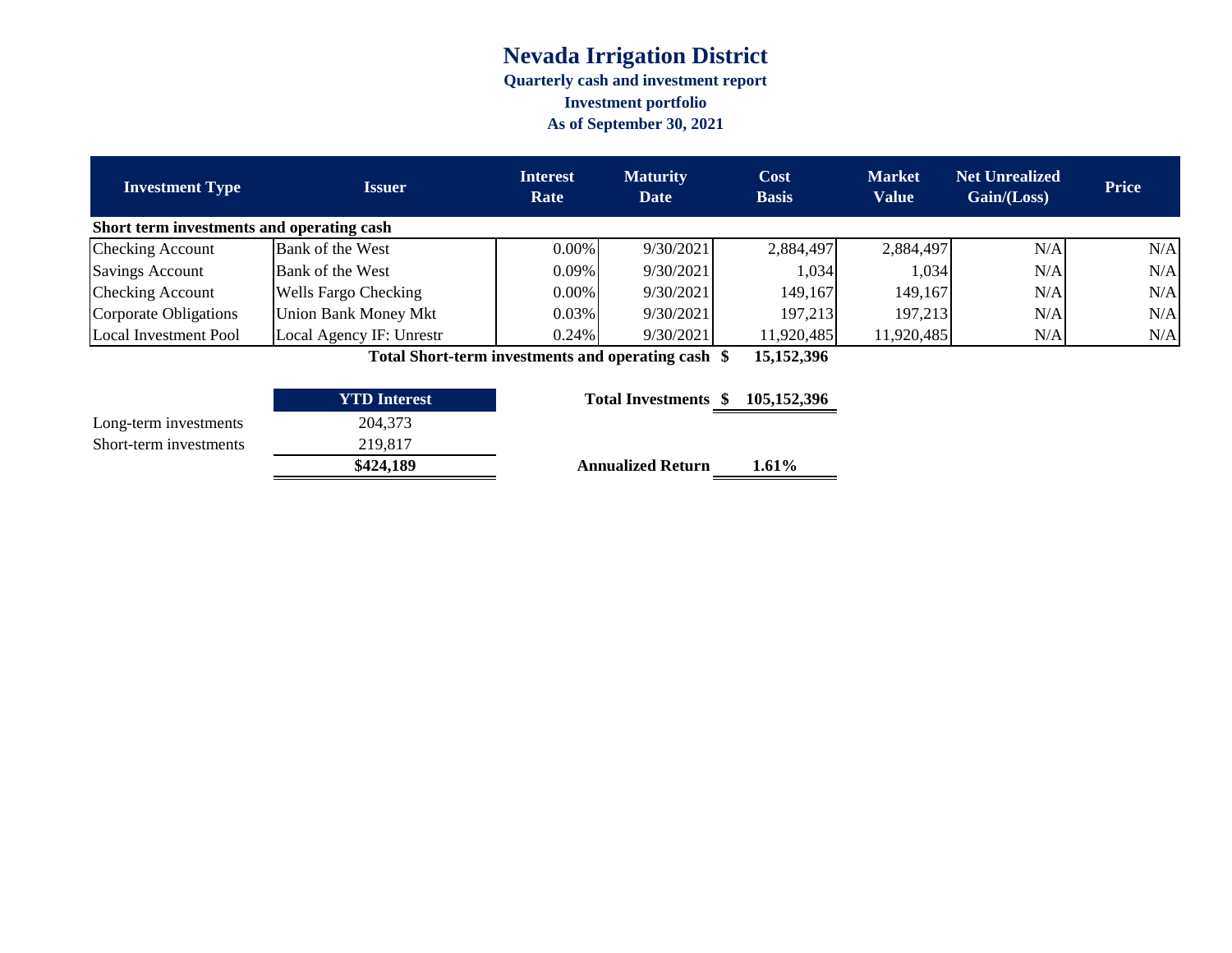## **Nevada Irrigation District Quarterly cash and investment report Investment portfolio As of September 30, 2021**

| <b>Investment Type</b>                    | <b>Issuer</b>               | <b>Interest</b><br>Rate | <b>Maturity</b><br>Date | Cost<br><b>Basis</b> | <b>Market</b><br><b>Value</b> | <b>Net Unrealized</b><br>Gain/(Loss) | <b>Price</b> |
|-------------------------------------------|-----------------------------|-------------------------|-------------------------|----------------------|-------------------------------|--------------------------------------|--------------|
| Short term investments and operating cash |                             |                         |                         |                      |                               |                                      |              |
| <b>Checking Account</b>                   | Bank of the West            | 0.00%                   | 9/30/2021               | 2,884,497            | 2,884,497                     | N/A                                  | N/A          |
| <b>Savings Account</b>                    | Bank of the West            | 0.09%                   | 9/30/2021               | 1,034                | 1,034                         | N/A                                  | N/A          |
| <b>Checking Account</b>                   | <b>Wells Fargo Checking</b> | 0.00%                   | 9/30/2021               | 149,167              | 149,167                       | N/A                                  | N/A          |
| Corporate Obligations                     | <b>Union Bank Money Mkt</b> | 0.03%                   | 9/30/2021               | 197,213              | 197,213                       | N/A                                  | N/A          |
| Local Investment Pool                     | Local Agency IF: Unrestr    | 0.24%                   | 9/30/2021               | 11,920,485           | 11,920,485                    | N/A                                  | N/A          |

**Total Short-term investments and operating cash \$ 15,152,396**

| <b>YTD</b> Interest |                                      |                                  |
|---------------------|--------------------------------------|----------------------------------|
| 204.373             |                                      |                                  |
| 219.817             |                                      |                                  |
| \$424,189           | <b>Annualized Return</b><br>$1.61\%$ |                                  |
|                     |                                      | Total Investments \$ 105,152,396 |